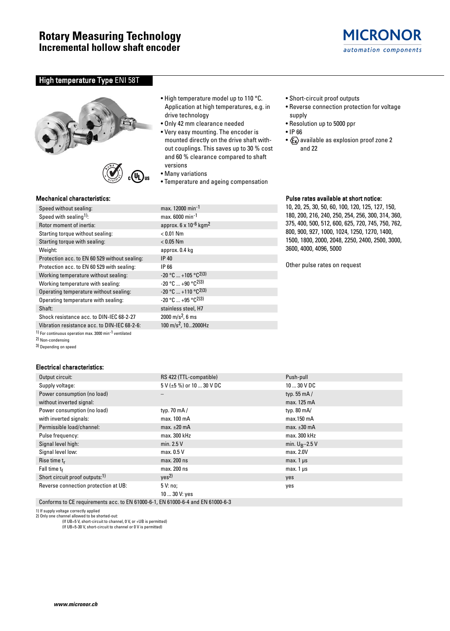

# High temperature Type ENI 58T





## Mechanical characteristics:

| Speed without sealing:                        | max. 12000 min <sup>-1</sup>                |
|-----------------------------------------------|---------------------------------------------|
| Speed with sealing <sup>1)</sup> :            | max. 6000 min <sup>-1</sup>                 |
| Rotor moment of inertia:                      | approx. $6 \times 10^{-6}$ kgm <sup>2</sup> |
| Starting torque without sealing:              | $< 0.01$ Nm                                 |
| Starting torque with sealing:                 | $< 0.05$ Nm                                 |
| Weight:                                       | approx. 0.4 kg                              |
| Protection acc. to EN 60 529 without sealing: | IP 40                                       |
| Protection acc. to EN 60 529 with sealing:    | IP 66                                       |
| Working temperature without sealing:          | $-20$ °C  +105 °C <sup>2)3)</sup>           |
| Working temperature with sealing:             | $-20$ °C $+90$ °C <sup>2)3)</sup>           |
| Operating temperature without sealing:        | $-20$ °C  +110 °C <sup>2)3)</sup>           |
| Operating temperature with sealing:           | $-20$ °C $+95$ °C <sup>2)3)</sup>           |
| Shaft:                                        | stainless steel, H7                         |
| Shock resistance acc. to DIN-IEC 68-2-27      | $2000 \text{ m/s}^2$ , 6 ms                 |
| Vibration resistance acc. to DIN-IEC 68-2-6:  | 100 m/s <sup>2</sup> , 102000Hz             |
|                                               |                                             |

1) For continuous operation max. 3000 min-1 ventilated

- 2) Non-condensing
- 3) Depending on speed

### Electrical characteristics:

- High temperature model up to 110 °C. Application at high temperatures, e.g. in drive technology
- Only 42 mm clearance needed
- Very easy mounting. The encoder is mounted directly on the drive shaft without couplings. This saves up to 30 % cost and 60 % clearance compared to shaft versions
- Many variations
- Temperature and ageing compensation
- Short-circuit proof outputs
- Reverse connection protection for voltage supply
- Resolution up to 5000 ppr
- IP 66
- $\langle \xi_{\mathsf{X}} \rangle$  available as explosion proof zone 2 and 22

## Pulse rates available at short notice:

10, 20, 25, 30, 50, 60, 100, 120, 125, 127, 150, 180, 200, 216, 240, 250, 254, 256, 300, 314, 360, 375, 400, 500, 512, 600, 625, 720, 745, 750, 762, 800, 900, 927, 1000, 1024, 1250, 1270, 1400, 1500, 1800, 2000, 2048, 2250, 2400, 2500, 3000, 3600, 4000, 4096, 5000

Other pulse rates on request

| Output circuit:                            | RS 422 (TTL-compatible)         | Push-pull              |  |  |  |
|--------------------------------------------|---------------------------------|------------------------|--|--|--|
| Supply voltage:                            | $5 V (\pm 5 \%)$ or 10  30 V DC | $1030$ V DC            |  |  |  |
| Power consumption (no load)                | —                               | typ. $55 \text{ mA}$ / |  |  |  |
| without inverted signal:                   |                                 | max. 125 mA            |  |  |  |
| Power consumption (no load)                | typ. 70 $mA/$                   | typ. $80 \text{ mA}$   |  |  |  |
| with inverted signals:                     | max. 100 mA                     | max.150 mA             |  |  |  |
| Permissible load/channel:                  | max. $\pm 20$ mA                | max. $\pm 30$ mA       |  |  |  |
| Pulse frequency:                           | max. 300 kHz                    | max. 300 kHz           |  |  |  |
| Signal level high:                         | min. $2.5V$                     | min. $U_R - 2.5$ V     |  |  |  |
| Signal level low:                          | max. 0.5 V                      | max. 2.0V              |  |  |  |
| Rise time $t_r$                            | max. 200 ns                     | max. $1 \mu s$         |  |  |  |
| Fall time $t_f$                            | max. 200 ns                     | max. $1 \mu s$         |  |  |  |
| Short circuit proof outputs: <sup>1)</sup> | ves <sup>2</sup>                | yes                    |  |  |  |
| Reverse connection protection at UB:       | 5V:no;                          | yes                    |  |  |  |
|                                            | 10  30 V: yes                   |                        |  |  |  |

Conforms to CE requirements acc. to EN 61000-6-1, EN 61000-6-4 and EN 61000-6-3

1) If supply voltage correctly applied 2) Only one channel allowed to be shorted-out:

(If UB=5 V, short-circuit to channel, 0 V, or +UB is permitted)

(If UB=5-30 V, short-circuit to channel or 0 V is permitted)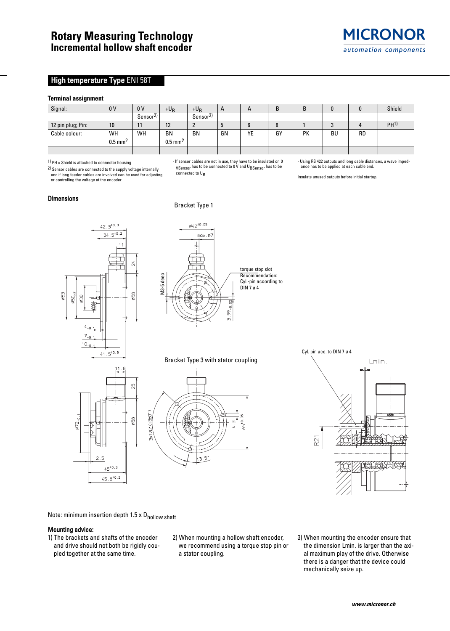# High temperature Type ENI 58T

#### **Terminal assignment**

| .                 |                       |                      |                       |                      |              |                       |    |    |    |           |                 |
|-------------------|-----------------------|----------------------|-----------------------|----------------------|--------------|-----------------------|----|----|----|-----------|-----------------|
| Signal:           | 0 <sub>V</sub>        | 0V                   | $+U_B$                | $+U_B$               | $\mathsf{A}$ | $\mathbf{\mathsf{H}}$ |    | B  |    | 0         | Shield          |
|                   |                       | Sensor <sup>2)</sup> |                       | Sensor <sup>2)</sup> |              |                       |    |    |    |           |                 |
| 12 pin plug; Pin: | 10 <sup>°</sup>       |                      | 12                    |                      | w            |                       |    |    |    |           | PH <sup>1</sup> |
| Cable colour:     | WH                    | WH                   | <b>BN</b>             | <b>BN</b>            | GN           | YE                    | GY | PK | BU | <b>RD</b> |                 |
|                   | $0.5$ mm <sup>2</sup> |                      | $0.5$ mm <sup>2</sup> |                      |              |                       |    |    |    |           |                 |
|                   |                       |                      |                       |                      |              |                       |    |    |    |           |                 |

- If sensor cables are not in use, they have to be insulated or 0 VSensor has to be connected to 0 V and UBSensor has to be

1) PH = Shield is attached to connector housing

2) Sensor cables are connected to the supply voltage internally and if long feeder cables are involved can be used for adjusting or controlling the voltage at the encoder

#### Dimensions

Bracket Type 1

connected to U<sub>B</sub>





Bracket Type 3 with stator coupling





- Using RS 422 outputs and long cable distances, a wave imped-ance has to be applied at each cable end.

Insulate unused outputs before initial startup.

Note: minimum insertion depth 1.5 x Dhollow shaft

### Mounting advice:

- 1) The brackets and shafts of the encoder and drive should not both be rigidly coupled together at the same time.
- 2) When mounting a hollow shaft encoder, we recommend using a torque stop pin or a stator coupling.
- 3) When mounting the encoder ensure that the dimension Lmin. is larger than the axial maximum play of the drive. Otherwise there is a danger that the device could mechanically seize up.